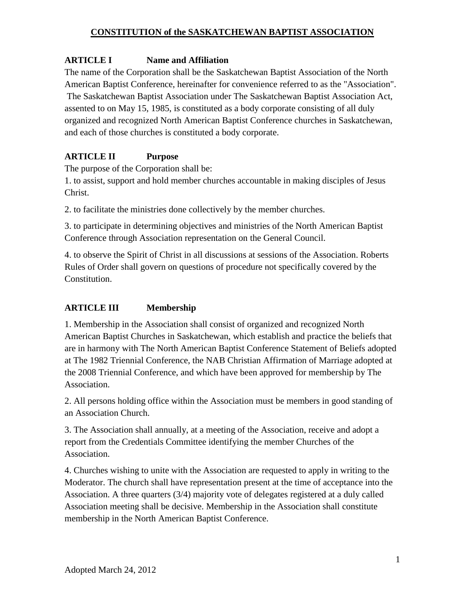# **ARTICLE I Name and Affiliation**

The name of the Corporation shall be the Saskatchewan Baptist Association of the North American Baptist Conference, hereinafter for convenience referred to as the "Association". The Saskatchewan Baptist Association under The Saskatchewan Baptist Association Act, assented to on May 15, 1985, is constituted as a body corporate consisting of all duly organized and recognized North American Baptist Conference churches in Saskatchewan, and each of those churches is constituted a body corporate.

# **ARTICLE II Purpose**

The purpose of the Corporation shall be:

1. to assist, support and hold member churches accountable in making disciples of Jesus Christ.

2. to facilitate the ministries done collectively by the member churches.

3. to participate in determining objectives and ministries of the North American Baptist Conference through Association representation on the General Council.

4. to observe the Spirit of Christ in all discussions at sessions of the Association. Roberts Rules of Order shall govern on questions of procedure not specifically covered by the Constitution.

# **ARTICLE III Membership**

1. Membership in the Association shall consist of organized and recognized North American Baptist Churches in Saskatchewan, which establish and practice the beliefs that are in harmony with The North American Baptist Conference Statement of Beliefs adopted at The 1982 Triennial Conference, the NAB Christian Affirmation of Marriage adopted at the 2008 Triennial Conference, and which have been approved for membership by The Association.

2. All persons holding office within the Association must be members in good standing of an Association Church.

3. The Association shall annually, at a meeting of the Association, receive and adopt a report from the Credentials Committee identifying the member Churches of the Association.

4. Churches wishing to unite with the Association are requested to apply in writing to the Moderator. The church shall have representation present at the time of acceptance into the Association. A three quarters (3/4) majority vote of delegates registered at a duly called Association meeting shall be decisive. Membership in the Association shall constitute membership in the North American Baptist Conference.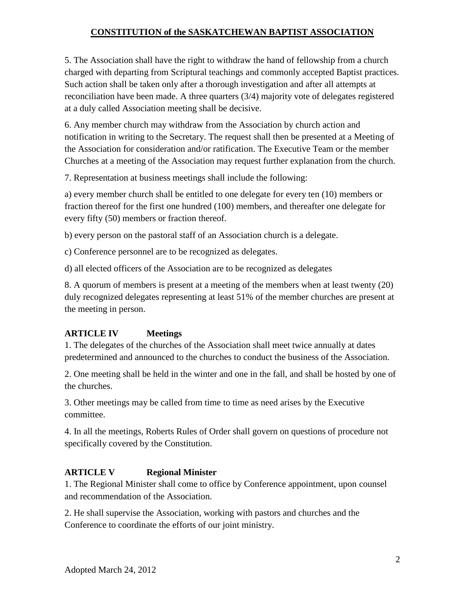5. The Association shall have the right to withdraw the hand of fellowship from a church charged with departing from Scriptural teachings and commonly accepted Baptist practices. Such action shall be taken only after a thorough investigation and after all attempts at reconciliation have been made. A three quarters (3/4) majority vote of delegates registered at a duly called Association meeting shall be decisive.

6. Any member church may withdraw from the Association by church action and notification in writing to the Secretary. The request shall then be presented at a Meeting of the Association for consideration and/or ratification. The Executive Team or the member Churches at a meeting of the Association may request further explanation from the church.

7. Representation at business meetings shall include the following:

a) every member church shall be entitled to one delegate for every ten (10) members or fraction thereof for the first one hundred (100) members, and thereafter one delegate for every fifty (50) members or fraction thereof.

b) every person on the pastoral staff of an Association church is a delegate.

c) Conference personnel are to be recognized as delegates.

d) all elected officers of the Association are to be recognized as delegates

8. A quorum of members is present at a meeting of the members when at least twenty (20) duly recognized delegates representing at least 51% of the member churches are present at the meeting in person.

## **ARTICLE IV Meetings**

1. The delegates of the churches of the Association shall meet twice annually at dates predetermined and announced to the churches to conduct the business of the Association.

2. One meeting shall be held in the winter and one in the fall, and shall be hosted by one of the churches.

3. Other meetings may be called from time to time as need arises by the Executive committee.

4. In all the meetings, Roberts Rules of Order shall govern on questions of procedure not specifically covered by the Constitution.

# **ARTICLE V Regional Minister**

1. The Regional Minister shall come to office by Conference appointment, upon counsel and recommendation of the Association.

2. He shall supervise the Association, working with pastors and churches and the Conference to coordinate the efforts of our joint ministry.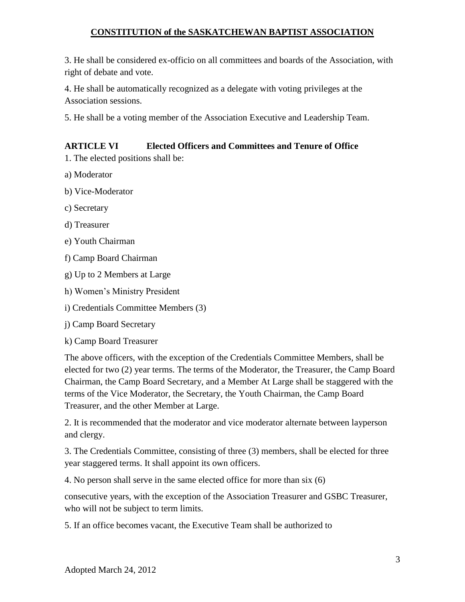3. He shall be considered ex-officio on all committees and boards of the Association, with right of debate and vote.

4. He shall be automatically recognized as a delegate with voting privileges at the Association sessions.

5. He shall be a voting member of the Association Executive and Leadership Team.

# **ARTICLE VI Elected Officers and Committees and Tenure of Office**

1. The elected positions shall be:

- a) Moderator
- b) Vice-Moderator
- c) Secretary
- d) Treasurer
- e) Youth Chairman
- f) Camp Board Chairman
- g) Up to 2 Members at Large
- h) Women's Ministry President
- i) Credentials Committee Members (3)
- j) Camp Board Secretary
- k) Camp Board Treasurer

The above officers, with the exception of the Credentials Committee Members, shall be elected for two (2) year terms. The terms of the Moderator, the Treasurer, the Camp Board Chairman, the Camp Board Secretary, and a Member At Large shall be staggered with the terms of the Vice Moderator, the Secretary, the Youth Chairman, the Camp Board Treasurer, and the other Member at Large.

2. It is recommended that the moderator and vice moderator alternate between layperson and clergy.

3. The Credentials Committee, consisting of three (3) members, shall be elected for three year staggered terms. It shall appoint its own officers.

4. No person shall serve in the same elected office for more than six (6)

consecutive years, with the exception of the Association Treasurer and GSBC Treasurer, who will not be subject to term limits.

5. If an office becomes vacant, the Executive Team shall be authorized to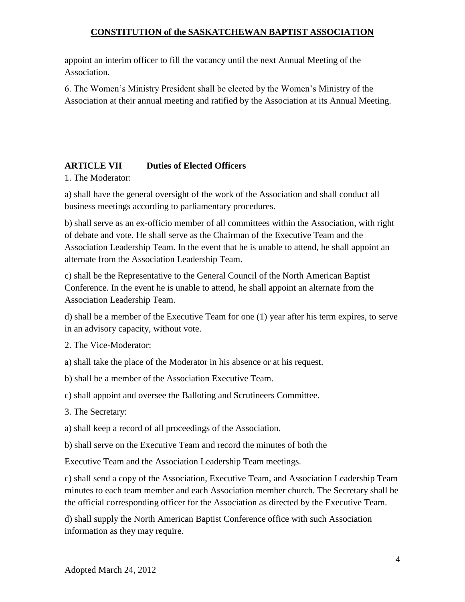appoint an interim officer to fill the vacancy until the next Annual Meeting of the Association.

6. The Women's Ministry President shall be elected by the Women's Ministry of the Association at their annual meeting and ratified by the Association at its Annual Meeting.

## **ARTICLE VII Duties of Elected Officers**

1. The Moderator:

a) shall have the general oversight of the work of the Association and shall conduct all business meetings according to parliamentary procedures.

b) shall serve as an ex-officio member of all committees within the Association, with right of debate and vote. He shall serve as the Chairman of the Executive Team and the Association Leadership Team. In the event that he is unable to attend, he shall appoint an alternate from the Association Leadership Team.

c) shall be the Representative to the General Council of the North American Baptist Conference. In the event he is unable to attend, he shall appoint an alternate from the Association Leadership Team.

d) shall be a member of the Executive Team for one (1) year after his term expires, to serve in an advisory capacity, without vote.

2. The Vice-Moderator:

a) shall take the place of the Moderator in his absence or at his request.

b) shall be a member of the Association Executive Team.

c) shall appoint and oversee the Balloting and Scrutineers Committee.

3. The Secretary:

a) shall keep a record of all proceedings of the Association.

b) shall serve on the Executive Team and record the minutes of both the

Executive Team and the Association Leadership Team meetings.

c) shall send a copy of the Association, Executive Team, and Association Leadership Team minutes to each team member and each Association member church. The Secretary shall be the official corresponding officer for the Association as directed by the Executive Team.

d) shall supply the North American Baptist Conference office with such Association information as they may require.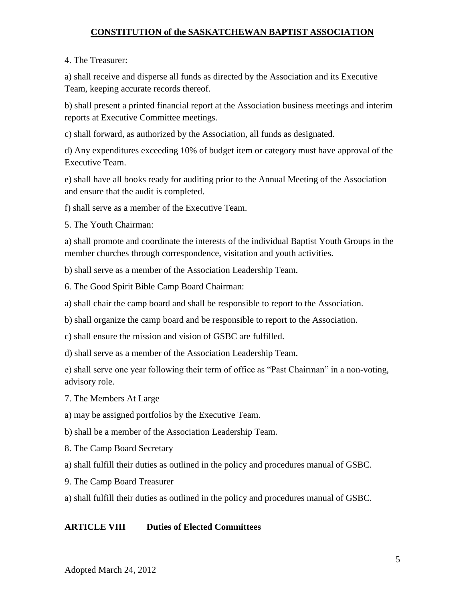#### 4. The Treasurer:

a) shall receive and disperse all funds as directed by the Association and its Executive Team, keeping accurate records thereof.

b) shall present a printed financial report at the Association business meetings and interim reports at Executive Committee meetings.

c) shall forward, as authorized by the Association, all funds as designated.

d) Any expenditures exceeding 10% of budget item or category must have approval of the Executive Team.

e) shall have all books ready for auditing prior to the Annual Meeting of the Association and ensure that the audit is completed.

f) shall serve as a member of the Executive Team.

5. The Youth Chairman:

a) shall promote and coordinate the interests of the individual Baptist Youth Groups in the member churches through correspondence, visitation and youth activities.

b) shall serve as a member of the Association Leadership Team.

6. The Good Spirit Bible Camp Board Chairman:

a) shall chair the camp board and shall be responsible to report to the Association.

b) shall organize the camp board and be responsible to report to the Association.

c) shall ensure the mission and vision of GSBC are fulfilled.

d) shall serve as a member of the Association Leadership Team.

e) shall serve one year following their term of office as "Past Chairman" in a non-voting, advisory role.

7. The Members At Large

a) may be assigned portfolios by the Executive Team.

b) shall be a member of the Association Leadership Team.

8. The Camp Board Secretary

a) shall fulfill their duties as outlined in the policy and procedures manual of GSBC.

9. The Camp Board Treasurer

a) shall fulfill their duties as outlined in the policy and procedures manual of GSBC.

#### **ARTICLE VIII Duties of Elected Committees**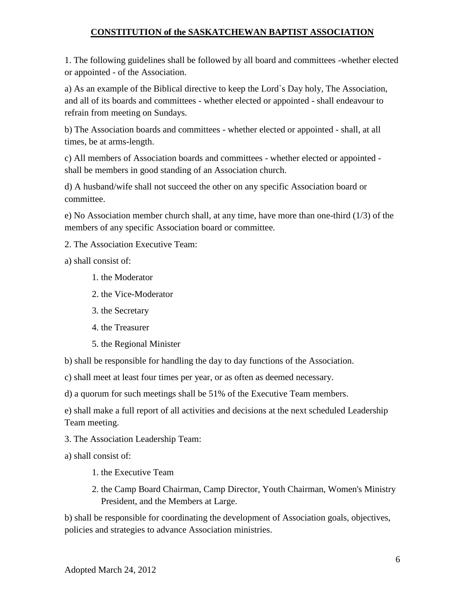1. The following guidelines shall be followed by all board and committees -whether elected or appointed - of the Association.

a) As an example of the Biblical directive to keep the Lord`s Day holy, The Association, and all of its boards and committees - whether elected or appointed - shall endeavour to refrain from meeting on Sundays.

b) The Association boards and committees - whether elected or appointed - shall, at all times, be at arms-length.

c) All members of Association boards and committees - whether elected or appointed shall be members in good standing of an Association church.

d) A husband/wife shall not succeed the other on any specific Association board or committee.

e) No Association member church shall, at any time, have more than one-third (1/3) of the members of any specific Association board or committee.

2. The Association Executive Team:

a) shall consist of:

- 1. the Moderator
- 2. the Vice-Moderator
- 3. the Secretary
- 4. the Treasurer
- 5. the Regional Minister

b) shall be responsible for handling the day to day functions of the Association.

c) shall meet at least four times per year, or as often as deemed necessary.

d) a quorum for such meetings shall be 51% of the Executive Team members.

e) shall make a full report of all activities and decisions at the next scheduled Leadership Team meeting.

3. The Association Leadership Team:

a) shall consist of:

- 1. the Executive Team
- 2. the Camp Board Chairman, Camp Director, Youth Chairman, Women's Ministry President, and the Members at Large.

b) shall be responsible for coordinating the development of Association goals, objectives, policies and strategies to advance Association ministries.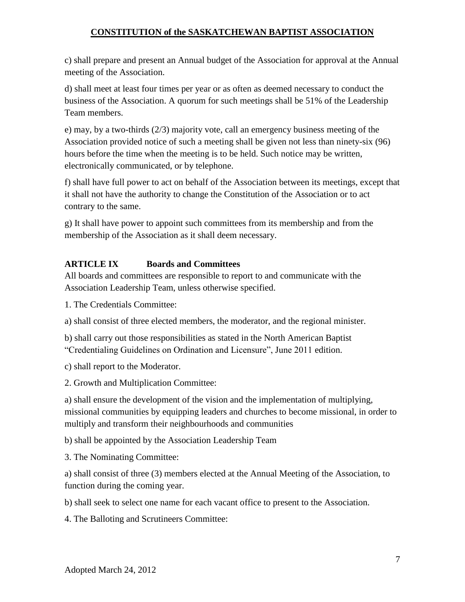c) shall prepare and present an Annual budget of the Association for approval at the Annual meeting of the Association.

d) shall meet at least four times per year or as often as deemed necessary to conduct the business of the Association. A quorum for such meetings shall be 51% of the Leadership Team members.

e) may, by a two-thirds (2/3) majority vote, call an emergency business meeting of the Association provided notice of such a meeting shall be given not less than ninety-six (96) hours before the time when the meeting is to be held. Such notice may be written, electronically communicated, or by telephone.

f) shall have full power to act on behalf of the Association between its meetings, except that it shall not have the authority to change the Constitution of the Association or to act contrary to the same.

g) It shall have power to appoint such committees from its membership and from the membership of the Association as it shall deem necessary.

## **ARTICLE IX Boards and Committees**

All boards and committees are responsible to report to and communicate with the Association Leadership Team, unless otherwise specified.

1. The Credentials Committee:

a) shall consist of three elected members, the moderator, and the regional minister.

b) shall carry out those responsibilities as stated in the North American Baptist "Credentialing Guidelines on Ordination and Licensure", June 2011 edition.

c) shall report to the Moderator.

2. Growth and Multiplication Committee:

a) shall ensure the development of the vision and the implementation of multiplying, missional communities by equipping leaders and churches to become missional, in order to multiply and transform their neighbourhoods and communities

b) shall be appointed by the Association Leadership Team

3. The Nominating Committee:

a) shall consist of three (3) members elected at the Annual Meeting of the Association, to function during the coming year.

b) shall seek to select one name for each vacant office to present to the Association.

4. The Balloting and Scrutineers Committee: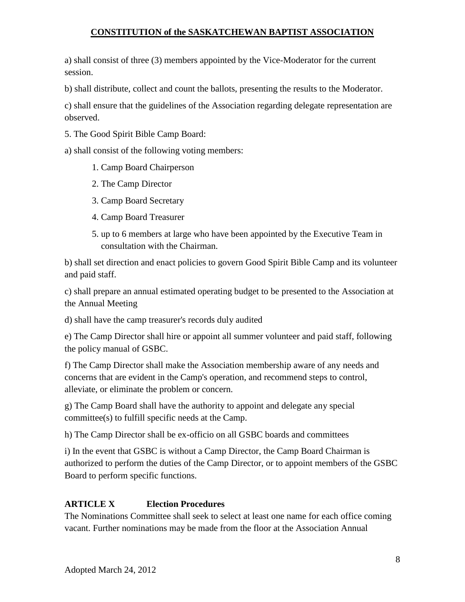a) shall consist of three (3) members appointed by the Vice-Moderator for the current session.

b) shall distribute, collect and count the ballots, presenting the results to the Moderator.

c) shall ensure that the guidelines of the Association regarding delegate representation are observed.

5. The Good Spirit Bible Camp Board:

a) shall consist of the following voting members:

- 1. Camp Board Chairperson
- 2. The Camp Director
- 3. Camp Board Secretary
- 4. Camp Board Treasurer
- 5. up to 6 members at large who have been appointed by the Executive Team in consultation with the Chairman.

b) shall set direction and enact policies to govern Good Spirit Bible Camp and its volunteer and paid staff.

c) shall prepare an annual estimated operating budget to be presented to the Association at the Annual Meeting

d) shall have the camp treasurer's records duly audited

e) The Camp Director shall hire or appoint all summer volunteer and paid staff, following the policy manual of GSBC.

f) The Camp Director shall make the Association membership aware of any needs and concerns that are evident in the Camp's operation, and recommend steps to control, alleviate, or eliminate the problem or concern.

g) The Camp Board shall have the authority to appoint and delegate any special committee(s) to fulfill specific needs at the Camp.

h) The Camp Director shall be ex-officio on all GSBC boards and committees

i) In the event that GSBC is without a Camp Director, the Camp Board Chairman is authorized to perform the duties of the Camp Director, or to appoint members of the GSBC Board to perform specific functions.

## **ARTICLE X Election Procedures**

The Nominations Committee shall seek to select at least one name for each office coming vacant. Further nominations may be made from the floor at the Association Annual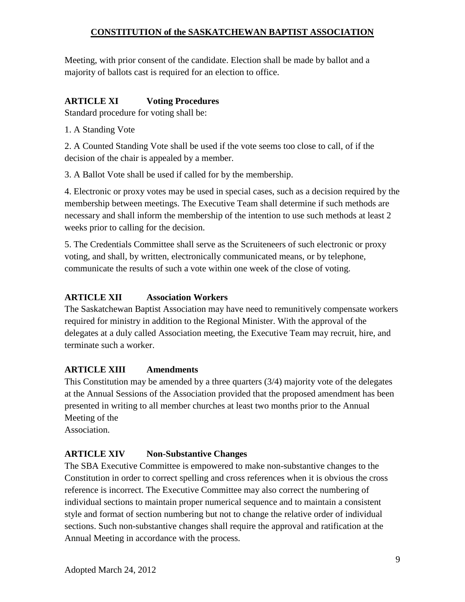Meeting, with prior consent of the candidate. Election shall be made by ballot and a majority of ballots cast is required for an election to office.

# **ARTICLE XI Voting Procedures**

Standard procedure for voting shall be:

1. A Standing Vote

2. A Counted Standing Vote shall be used if the vote seems too close to call, of if the decision of the chair is appealed by a member.

3. A Ballot Vote shall be used if called for by the membership.

4. Electronic or proxy votes may be used in special cases, such as a decision required by the membership between meetings. The Executive Team shall determine if such methods are necessary and shall inform the membership of the intention to use such methods at least 2 weeks prior to calling for the decision.

5. The Credentials Committee shall serve as the Scruiteneers of such electronic or proxy voting, and shall, by written, electronically communicated means, or by telephone, communicate the results of such a vote within one week of the close of voting.

# **ARTICLE XII Association Workers**

The Saskatchewan Baptist Association may have need to remunitively compensate workers required for ministry in addition to the Regional Minister. With the approval of the delegates at a duly called Association meeting, the Executive Team may recruit, hire, and terminate such a worker.

## **ARTICLE XIII Amendments**

This Constitution may be amended by a three quarters (3/4) majority vote of the delegates at the Annual Sessions of the Association provided that the proposed amendment has been presented in writing to all member churches at least two months prior to the Annual Meeting of the

Association.

## **ARTICLE XIV Non-Substantive Changes**

The SBA Executive Committee is empowered to make non-substantive changes to the Constitution in order to correct spelling and cross references when it is obvious the cross reference is incorrect. The Executive Committee may also correct the numbering of individual sections to maintain proper numerical sequence and to maintain a consistent style and format of section numbering but not to change the relative order of individual sections. Such non-substantive changes shall require the approval and ratification at the Annual Meeting in accordance with the process.